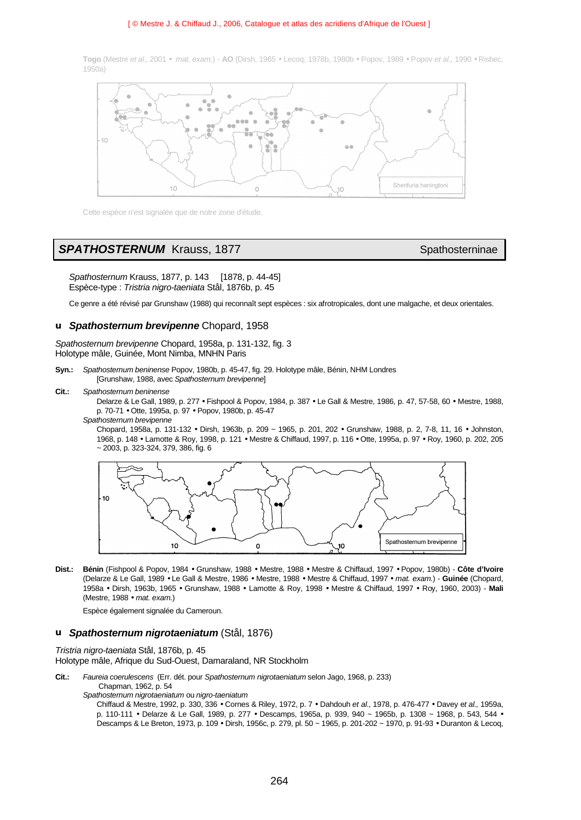#### [ © Mestre J. & Chiffaud J., 2006, Catalogue et atlas des acridiens d'Afrique de l'Ouest ]

**Togo** (Mestre *et al*., 2001 • *mat. exam.*) - **AO** (Dirsh, 1965 • Lecoq, 1978b, 1980b • Popov, 1989 • Popov *et al*., 1990 • Risbec, 1950a)



Cette espèce n'est signalée que de notre zone d'étude.

## **SPATHOSTERNUM** Krauss, 1877 Spathosterninae

*Spathosternum* Krauss, 1877, p. 143 [1878, p. 44-45] Espèce-type : *Tristria nigro-taeniata* Stål, 1876b, p. 45

Ce genre a été révisé par Grunshaw (1988) qui reconnaît sept espèces : six afrotropicales, dont une malgache, et deux orientales.

### **u** *Spathosternum brevipenne* Chopard, 1958

*Spathosternum brevipenne* Chopard, 1958a, p. 131-132, fig. 3 Holotype mâle, Guinée, Mont Nimba, MNHN Paris

- **Syn.:** *Spathosternum beninense* Popov, 1980b, p. 45-47, fig. 29. Holotype mâle, Bénin, NHM Londres [Grunshaw, 1988, avec *Spathosternum brevipenne*]
- **Cit.:** *Spathosternum beninense*

Delarze & Le Gall, 1989, p. 277 • Fishpool & Popov, 1984, p. 387 • Le Gall & Mestre, 1986, p. 47, 57-58, 60 • Mestre, 1988, p. 70-71 • Otte, 1995a, p. 97 • Popov, 1980b, p. 45-47

*Spathosternum brevipenne*

Chopard, 1958a, p. 131-132 • Dirsh, 1963b, p. 209 ~ 1965, p. 201, 202 • Grunshaw, 1988, p. 2, 7-8, 11, 16 • Johnston, 1968, p. 148 • Lamotte & Roy, 1998, p. 121 • Mestre & Chiffaud, 1997, p. 116 • Otte, 1995a, p. 97 • Roy, 1960, p. 202, 205 ~ 2003, p. 323-324, 379, 386, fig. 6



**Dist.: Bénin** (Fishpool & Popov, 1984 • Grunshaw, 1988 • Mestre, 1988 • Mestre & Chiffaud, 1997 • Popov, 1980b) - **Côte d'Ivoire** (Delarze & Le Gall, 1989 • Le Gall & Mestre, 1986 • Mestre, 1988 • Mestre & Chiffaud, 1997 • *mat. exam.*) - **Guinée** (Chopard, 1958a • Dirsh, 1963b, 1965 • Grunshaw, 1988 • Lamotte & Roy, 1998 • Mestre & Chiffaud, 1997 • Roy, 1960, 2003) - **Mali** (Mestre, 1988 • *mat. exam.*)

Espèce également signalée du Cameroun.

### **u** *Spathosternum nigrotaeniatum* (Stål, 1876)

*Tristria nigro-taeniata* Stål, 1876b, p. 45 Holotype mâle, Afrique du Sud-Ouest, Damaraland, NR Stockholm

**Cit.:** *Faureia coerulescens* (Err. dét. pour *Spathosternum nigrotaeniatum* selon Jago, 1968, p. 233)

Chapman, 1962, p. 54

- *Spathosternum nigrotaeniatum* ou *nigro-taeniatum*
	- Chiffaud & Mestre, 1992, p. 330, 336 Cornes & Riley, 1972, p. 7 Dahdouh *et al*., 1978, p. 476-477 Davey e*t al.,* 1959a, p. 110-111 • Delarze & Le Gall, 1989, p. 277 • Descamps, 1965a, p. 939, 940 ~ 1965b, p. 1308 ~ 1968, p. 543, 544 • Descamps & Le Breton, 1973, p. 109 • Dirsh, 1956c, p. 279, pl. 50 ~ 1965, p. 201-202 ~ 1970, p. 91-93 • Duranton & Lecoq,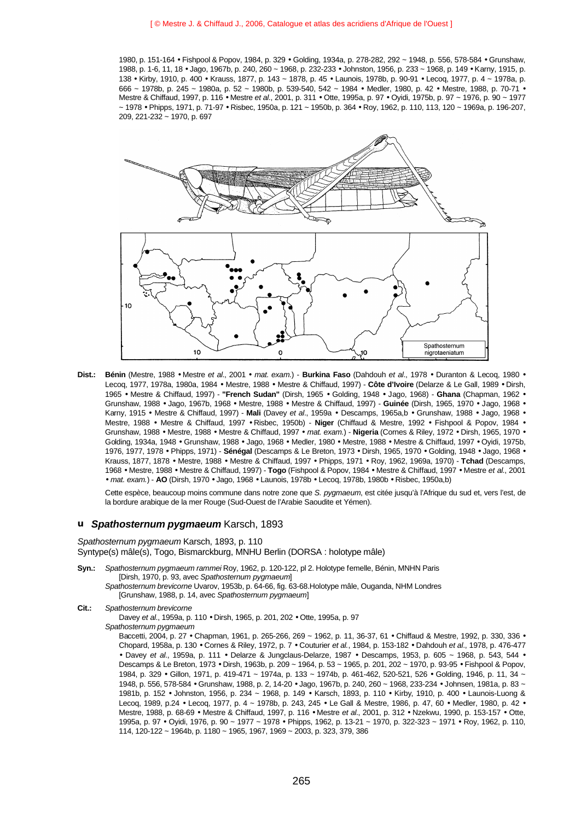1980, p. 151-164 • Fishpool & Popov, 1984, p. 329 • Golding, 1934a, p. 278-282, 292 ~ 1948, p. 556, 578-584 • Grunshaw, 1988, p. 1-6, 11, 18 • Jago, 1967b, p. 240, 260 ~ 1968, p. 232-233 • Johnston, 1956, p. 233 ~ 1968, p. 149 • Karny, 1915, p. 138 • Kirby, 1910, p. 400 • Krauss, 1877, p. 143 ~ 1878, p. 45 • Launois, 1978b, p. 90-91 • Lecoq, 1977, p. 4 ~ 1978a, p. 666 ~ 1978b, p. 245 ~ 1980a, p. 52 ~ 1980b, p. 539-540, 542 ~ 1984 • Medler, 1980, p. 42 • Mestre, 1988, p. 70-71 • Mestre & Chiffaud, 1997, p. 116 • Mestre *et al*., 2001, p. 311 • Otte, 1995a, p. 97 • Oyidi, 1975b, p. 97 ~ 1976, p. 90 ~ 1977 ~ 1978 • Phipps, 1971, p. 71-97 • Risbec, 1950a, p. 121 ~ 1950b, p. 364 • Roy, 1962, p. 110, 113, 120 ~ 1969a, p. 196-207, 209, 221-232 ~ 1970, p. 697



**Dist.: Bénin** (Mestre, 1988 • Mestre *et al*., 2001 • *mat. exam.*) - **Burkina Faso** (Dahdouh *et al*., 1978 • Duranton & Lecoq, 1980 • Lecoq, 1977, 1978a, 1980a, 1984 • Mestre, 1988 • Mestre & Chiffaud, 1997) - **Côte d'Ivoire** (Delarze & Le Gall, 1989 • Dirsh, 1965 • Mestre & Chiffaud, 1997) - **"French Sudan"** (Dirsh, 1965 • Golding, 1948 • Jago, 1968) - **Ghana** (Chapman, 1962 • Grunshaw, 1988 • Jago, 1967b, 1968 • Mestre, 1988 • Mestre & Chiffaud, 1997) - **Guinée** (Dirsh, 1965, 1970 • Jago, 1968 • Karny, 1915 • Mestre & Chiffaud, 1997) - **Mali** (Davey *et al*., 1959a • Descamps, 1965a,b • Grunshaw, 1988 • Jago, 1968 • Mestre, 1988 • Mestre & Chiffaud, 1997 • Risbec, 1950b) - **Niger** (Chiffaud & Mestre, 1992 • Fishpool & Popov, 1984 • Grunshaw, 1988 • Mestre, 1988 • Mestre & Chiffaud, 1997 • *mat. exam.*) - **Nigeria** (Cornes & Riley, 1972 • Dirsh, 1965, 1970 • Golding, 1934a, 1948 • Grunshaw, 1988 • Jago, 1968 • Medler, 1980 • Mestre, 1988 • Mestre & Chiffaud, 1997 • Oyidi, 1975b, 1976, 1977, 1978 • Phipps, 1971) - **Sénégal** (Descamps & Le Breton, 1973 • Dirsh, 1965, 1970 • Golding, 1948 • Jago, 1968 • Krauss, 1877, 1878 • Mestre, 1988 • Mestre & Chiffaud, 1997 • Phipps, 1971 • Roy, 1962, 1969a, 1970) - **Tchad** (Descamps, 1968 • Mestre, 1988 • Mestre & Chiffaud, 1997) - **Togo** (Fishpool & Popov, 1984 • Mestre & Chiffaud, 1997 • Mestre *et al*., 2001 • *mat. exam.*) - **AO** (Dirsh, 1970 • Jago, 1968 • Launois, 1978b • Lecoq, 1978b, 1980b • Risbec, 1950a,b)

Cette espèce, beaucoup moins commune dans notre zone que *S. pygmaeum*, est citée jusqu'à l'Afrique du sud et, vers l'est, de la bordure arabique de la mer Rouge (Sud-Ouest de l'Arabie Saoudite et Yémen).

#### **u** *Spathosternum pygmaeum* Karsch, 1893

## *Spathosternum pygmaeum* Karsch, 1893, p. 110

Syntype(s) mâle(s), Togo, Bismarckburg, MNHU Berlin (DORSA : holotype mâle)

**Syn.:** *Spathosternum pygmaeum rammei* Roy, 1962, p. 120-122, pl 2. Holotype femelle, Bénin, MNHN Paris [Dirsh, 1970, p. 93, avec *Spathosternum pygmaeum*] *Spathosternum brevicorne* Uvarov, 1953b, p. 64-66, fig. 63-68.Holotype mâle, Ouganda, NHM Londres

[Grunshaw, 1988, p. 14, avec *Spathosternum pygmaeum*]

**Cit.:** *Spathosternum brevicorne*

Davey *et al*., 1959a, p. 110 • Dirsh, 1965, p. 201, 202 • Otte, 1995a, p. 97 *Spathosternum pygmaeum*

Baccetti, 2004, p. 27 • Chapman, 1961, p. 265-266, 269 ~ 1962, p. 11, 36-37, 61 • Chiffaud & Mestre, 1992, p. 330, 336 • Chopard, 1958a, p. 130 • Cornes & Riley, 1972, p. 7 • Couturier *et al.*, 1984, p. 153-182 • Dahdouh *et al*., 1978, p. 476-477 • Davey *et al*., 1959a, p. 111 • Delarze & Jungclaus-Delarze, 1987 • Descamps, 1953, p. 605 ~ 1968, p. 543, 544 • Descamps & Le Breton, 1973 • Dirsh, 1963b, p. 209 ~ 1964, p. 53 ~ 1965, p. 201, 202 ~ 1970, p. 93-95 • Fishpool & Popov, 1984, p. 329 • Gillon, 1971, p. 419-471 ~ 1974a, p. 133 ~ 1974b, p. 461-462, 520-521, 526 • Golding, 1946, p. 11, 34 ~ 1948, p. 556, 578-584 • Grunshaw, 1988, p. 2, 14-20 • Jago, 1967b, p. 240, 260 ~ 1968, 233-234 • Johnsen, 1981a, p. 83 ~ 1981b, p. 152 • Johnston, 1956, p. 234 ~ 1968, p. 149 • Karsch, 1893, p. 110 • Kirby, 1910, p. 400 • Launois-Luong & Lecoq, 1989, p.24 • Lecoq, 1977, p. 4 ~ 1978b, p. 243, 245 • Le Gall & Mestre, 1986, p. 47, 60 • Medler, 1980, p. 42 • Mestre, 1988, p. 68-69 • Mestre & Chiffaud, 1997, p. 116 • Mestre *et al*., 2001, p. 312 • Nzekwu, 1990, p. 153-157 • Otte, 1995a, p. 97 • Oyidi, 1976, p. 90 ~ 1977 ~ 1978 • Phipps, 1962, p. 13-21 ~ 1970, p. 322-323 ~ 1971 • Roy, 1962, p. 110, 114, 120-122 ~ 1964b, p. 1180 ~ 1965, 1967, 1969 ~ 2003, p. 323, 379, 386